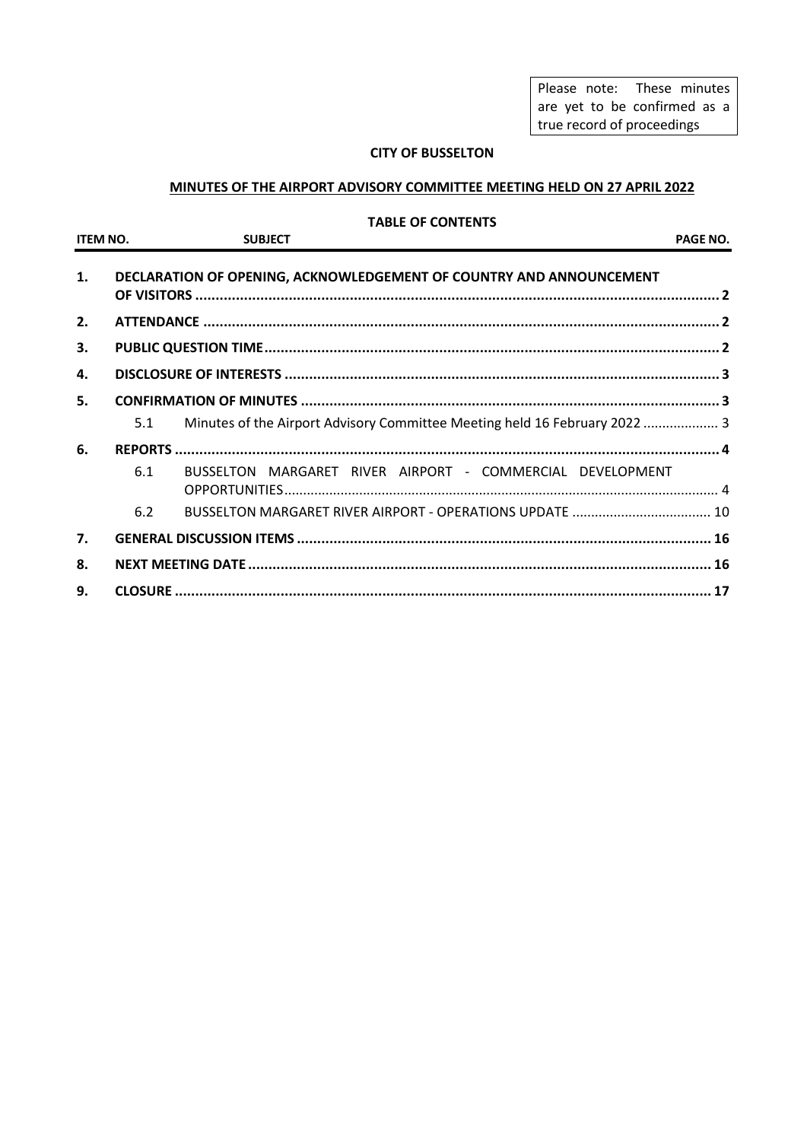Please note: These minutes are yet to be confirmed as a true record of proceedings

## **CITY OF BUSSELTON**

# **MINUTES OF THE AIRPORT ADVISORY COMMITTEE MEETING HELD ON 27 APRIL 2022**

#### **TABLE OF CONTENTS**

| <b>ITEM NO.</b> |     | <b>SUBJECT</b>                                                             | PAGE NO. |
|-----------------|-----|----------------------------------------------------------------------------|----------|
| 1.              |     | DECLARATION OF OPENING, ACKNOWLEDGEMENT OF COUNTRY AND ANNOUNCEMENT        |          |
| 2.              |     |                                                                            |          |
| 3.              |     |                                                                            |          |
| 4.              |     |                                                                            |          |
| 5.              |     |                                                                            |          |
|                 | 5.1 | Minutes of the Airport Advisory Committee Meeting held 16 February 2022  3 |          |
| 6.              |     |                                                                            |          |
|                 | 6.1 | BUSSELTON MARGARET RIVER AIRPORT - COMMERCIAL DEVELOPMENT                  |          |
|                 | 6.2 |                                                                            |          |
| 7.              |     |                                                                            |          |
| 8.              |     |                                                                            |          |
| 9.              |     |                                                                            |          |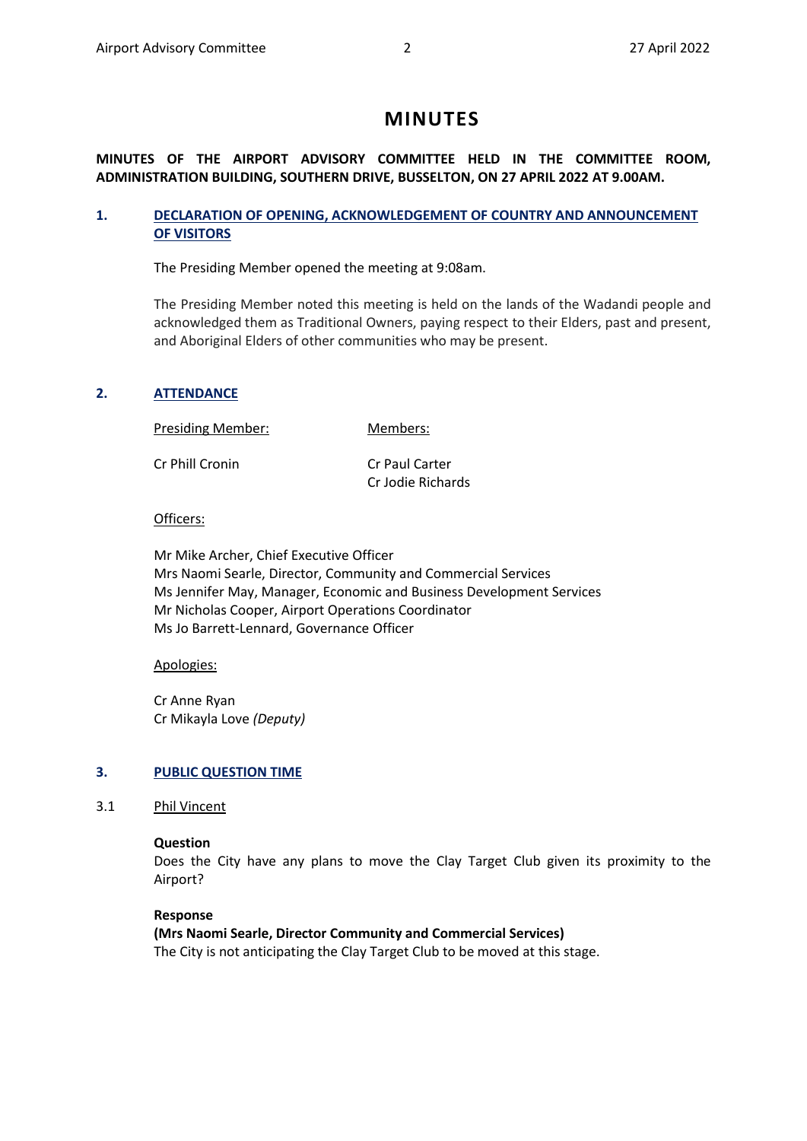# **MINUTES**

# **MINUTES OF THE AIRPORT ADVISORY COMMITTEE HELD IN THE COMMITTEE ROOM, ADMINISTRATION BUILDING, SOUTHERN DRIVE, BUSSELTON, ON 27 APRIL 2022 AT 9.00AM.**

# <span id="page-1-0"></span>**1. DECLARATION OF OPENING, ACKNOWLEDGEMENT OF COUNTRY AND ANNOUNCEMENT OF VISITORS**

The Presiding Member opened the meeting at 9:08am.

The Presiding Member noted this meeting is held on the lands of the Wadandi people and acknowledged them as Traditional Owners, paying respect to their Elders, past and present, and Aboriginal Elders of other communities who may be present.

# <span id="page-1-1"></span>**2. ATTENDANCE**

Presiding Member: Members:

| Cr Phill Cronin | Cr Paul Carter    |
|-----------------|-------------------|
|                 | Cr Jodie Richards |

# Officers:

Mr Mike Archer, Chief Executive Officer Mrs Naomi Searle, Director, Community and Commercial Services Ms Jennifer May, Manager, Economic and Business Development Services Mr Nicholas Cooper, Airport Operations Coordinator Ms Jo Barrett-Lennard, Governance Officer

## Apologies:

Cr Anne Ryan Cr Mikayla Love *(Deputy)*

# <span id="page-1-2"></span>**3. PUBLIC QUESTION TIME**

3.1 Phil Vincent

## **Question**

Does the City have any plans to move the Clay Target Club given its proximity to the Airport?

## **Response**

**(Mrs Naomi Searle, Director Community and Commercial Services)** The City is not anticipating the Clay Target Club to be moved at this stage.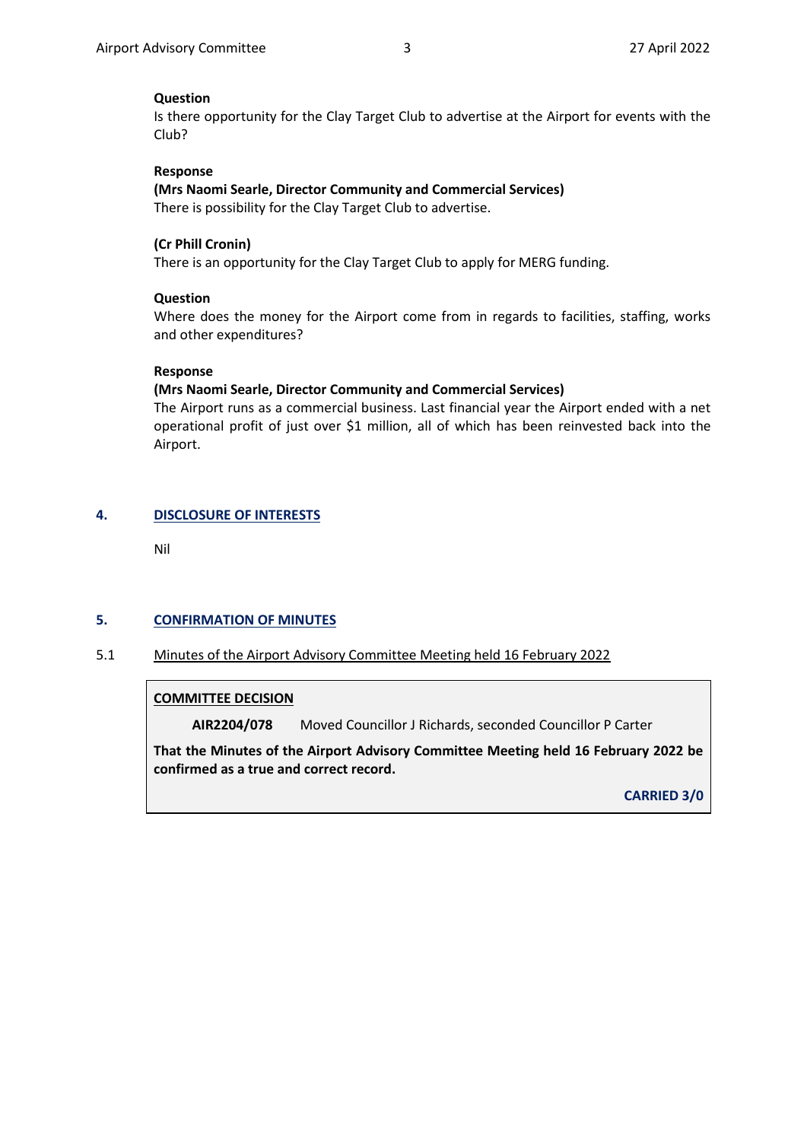## **Question**

Is there opportunity for the Clay Target Club to advertise at the Airport for events with the Club?

#### **Response**

**(Mrs Naomi Searle, Director Community and Commercial Services)** There is possibility for the Clay Target Club to advertise.

#### **(Cr Phill Cronin)**

There is an opportunity for the Clay Target Club to apply for MERG funding.

#### **Question**

Where does the money for the Airport come from in regards to facilities, staffing, works and other expenditures?

#### **Response**

#### **(Mrs Naomi Searle, Director Community and Commercial Services)**

The Airport runs as a commercial business. Last financial year the Airport ended with a net operational profit of just over \$1 million, all of which has been reinvested back into the Airport.

## <span id="page-2-0"></span>**4. DISCLOSURE OF INTERESTS**

Nil

#### <span id="page-2-1"></span>**5. CONFIRMATION OF MINUTES**

<span id="page-2-2"></span>5.1 Minutes of the Airport Advisory Committee Meeting held 16 February 2022

#### **COMMITTEE DECISION**

**AIR2204/078** Moved Councillor J Richards, seconded Councillor P Carter

**That the Minutes of the Airport Advisory Committee Meeting held 16 February 2022 be confirmed as a true and correct record.**

**CARRIED 3/0**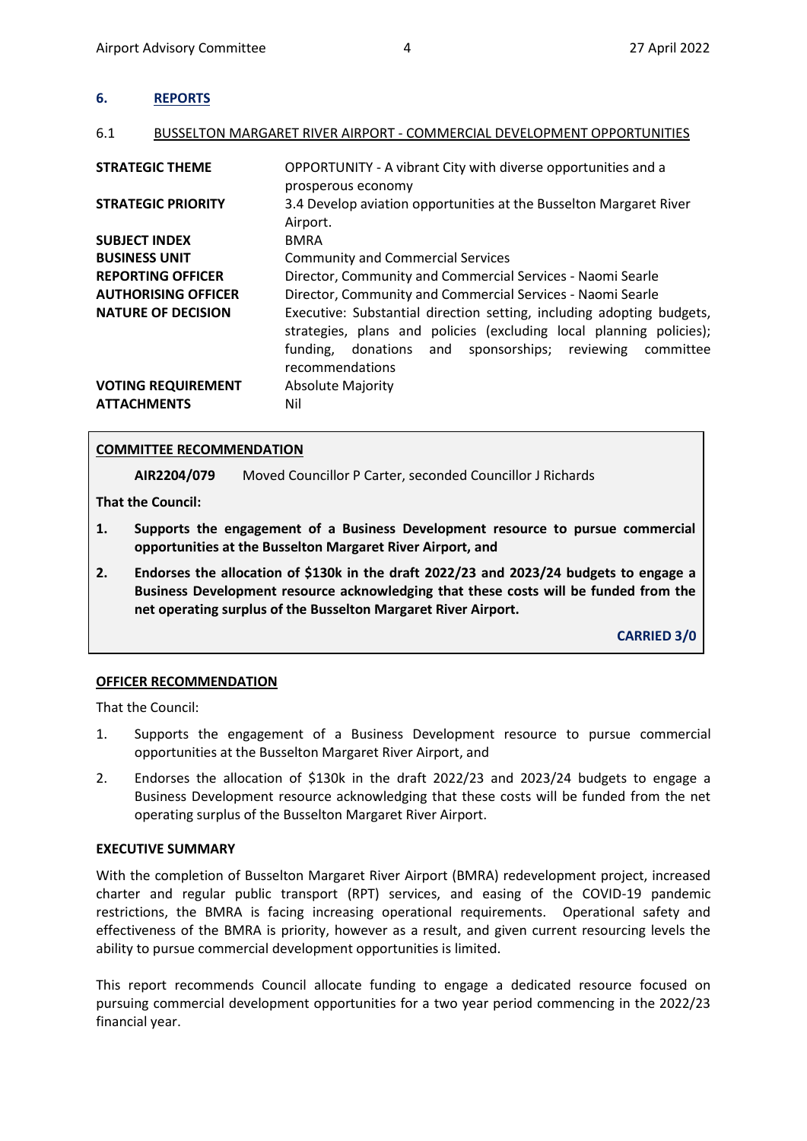<span id="page-3-0"></span>

| <b>REPORTS</b> |  |
|----------------|--|
|----------------|--|

#### <span id="page-3-1"></span>6.1 BUSSELTON MARGARET RIVER AIRPORT - COMMERCIAL DEVELOPMENT OPPORTUNITIES

| <b>STRATEGIC THEME</b>                          | OPPORTUNITY - A vibrant City with diverse opportunities and a<br>prosperous economy                                                                                                                                                  |
|-------------------------------------------------|--------------------------------------------------------------------------------------------------------------------------------------------------------------------------------------------------------------------------------------|
| <b>STRATEGIC PRIORITY</b>                       | 3.4 Develop aviation opportunities at the Busselton Margaret River<br>Airport.                                                                                                                                                       |
| <b>SUBJECT INDEX</b>                            | <b>BMRA</b>                                                                                                                                                                                                                          |
| <b>BUSINESS UNIT</b>                            | <b>Community and Commercial Services</b>                                                                                                                                                                                             |
| <b>REPORTING OFFICER</b>                        | Director, Community and Commercial Services - Naomi Searle                                                                                                                                                                           |
| <b>AUTHORISING OFFICER</b>                      | Director, Community and Commercial Services - Naomi Searle                                                                                                                                                                           |
| <b>NATURE OF DECISION</b>                       | Executive: Substantial direction setting, including adopting budgets,<br>strategies, plans and policies (excluding local planning policies);<br>and sponsorships; reviewing<br>funding,<br>donations<br>committee<br>recommendations |
| <b>VOTING REQUIREMENT</b><br><b>ATTACHMENTS</b> | <b>Absolute Majority</b><br>Nil                                                                                                                                                                                                      |

## **COMMITTEE RECOMMENDATION**

**AIR2204/079** Moved Councillor P Carter, seconded Councillor J Richards

**That the Council:**

- **1. Supports the engagement of a Business Development resource to pursue commercial opportunities at the Busselton Margaret River Airport, and**
- **2. Endorses the allocation of \$130k in the draft 2022/23 and 2023/24 budgets to engage a Business Development resource acknowledging that these costs will be funded from the net operating surplus of the Busselton Margaret River Airport.**

**CARRIED 3/0**

## **OFFICER RECOMMENDATION**

That the Council:

- 1. Supports the engagement of a Business Development resource to pursue commercial opportunities at the Busselton Margaret River Airport, and
- 2. Endorses the allocation of \$130k in the draft 2022/23 and 2023/24 budgets to engage a Business Development resource acknowledging that these costs will be funded from the net operating surplus of the Busselton Margaret River Airport.

## **EXECUTIVE SUMMARY**

With the completion of Busselton Margaret River Airport (BMRA) redevelopment project, increased charter and regular public transport (RPT) services, and easing of the COVID-19 pandemic restrictions, the BMRA is facing increasing operational requirements. Operational safety and effectiveness of the BMRA is priority, however as a result, and given current resourcing levels the ability to pursue commercial development opportunities is limited.

This report recommends Council allocate funding to engage a dedicated resource focused on pursuing commercial development opportunities for a two year period commencing in the 2022/23 financial year.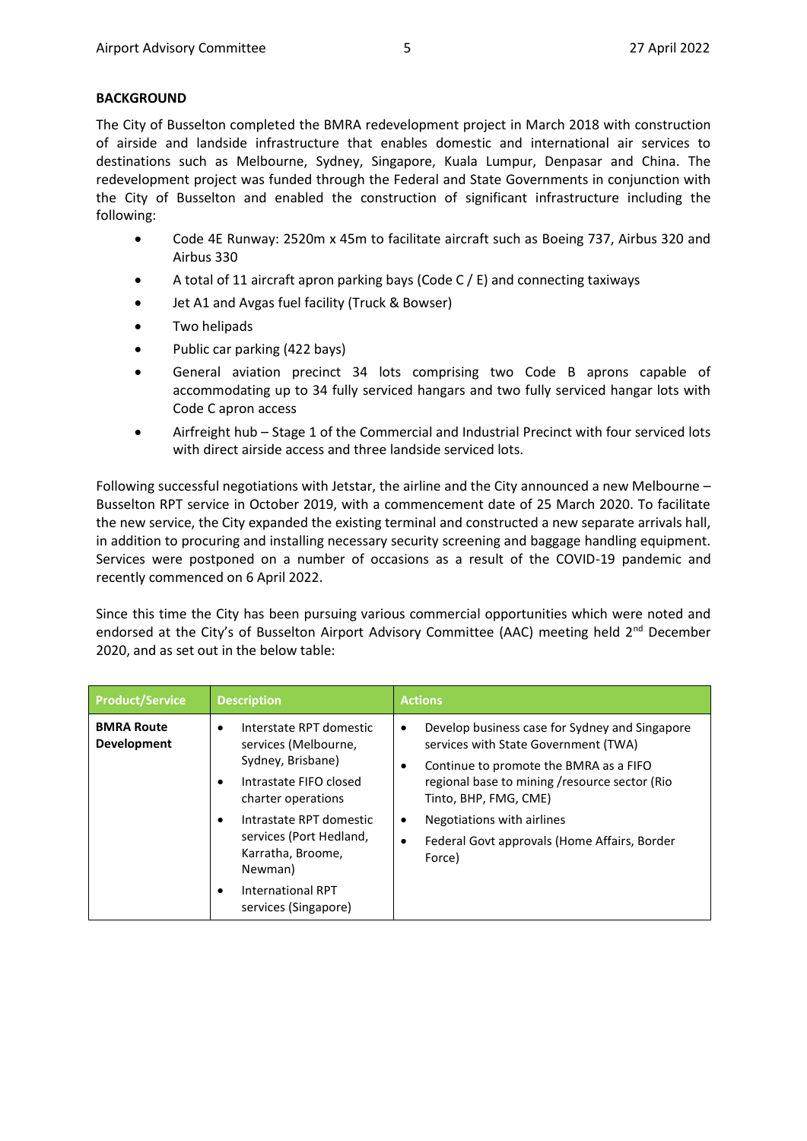# **BACKGROUND**

The City of Busselton completed the BMRA redevelopment project in March 2018 with construction of airside and landside infrastructure that enables domestic and international air services to destinations such as Melbourne, Sydney, Singapore, Kuala Lumpur, Denpasar and China. The redevelopment project was funded through the Federal and State Governments in conjunction with the City of Busselton and enabled the construction of significant infrastructure including the following:

- Code 4E Runway: 2520m x 45m to facilitate aircraft such as Boeing 737, Airbus 320 and Airbus 330
- A total of 11 aircraft apron parking bays (Code C / E) and connecting taxiways
- Jet A1 and Avgas fuel facility (Truck & Bowser)
- Two helipads
- Public car parking (422 bays)
- General aviation precinct 34 lots comprising two Code B aprons capable of accommodating up to 34 fully serviced hangars and two fully serviced hangar lots with Code C apron access
- Airfreight hub Stage 1 of the Commercial and Industrial Precinct with four serviced lots with direct airside access and three landside serviced lots.

Following successful negotiations with Jetstar, the airline and the City announced a new Melbourne – Busselton RPT service in October 2019, with a commencement date of 25 March 2020. To facilitate the new service, the City expanded the existing terminal and constructed a new separate arrivals hall, in addition to procuring and installing necessary security screening and baggage handling equipment. Services were postponed on a number of occasions as a result of the COVID-19 pandemic and recently commenced on 6 April 2022.

Since this time the City has been pursuing various commercial opportunities which were noted and endorsed at the City's of Busselton Airport Advisory Committee (AAC) meeting held 2<sup>nd</sup> December 2020, and as set out in the below table:

| <b>Product/Service</b>                  | <b>Description</b>                                                                                                                                                                                                                                                                                         | <b>Actions</b>                                                                                                                                                                                                                                                                                                            |
|-----------------------------------------|------------------------------------------------------------------------------------------------------------------------------------------------------------------------------------------------------------------------------------------------------------------------------------------------------------|---------------------------------------------------------------------------------------------------------------------------------------------------------------------------------------------------------------------------------------------------------------------------------------------------------------------------|
| <b>BMRA Route</b><br><b>Development</b> | Interstate RPT domestic<br>$\bullet$<br>services (Melbourne,<br>Sydney, Brisbane)<br>Intrastate FIFO closed<br>$\bullet$<br>charter operations<br>Intrastate RPT domestic<br>٠<br>services (Port Hedland,<br>Karratha, Broome,<br>Newman)<br><b>International RPT</b><br>$\bullet$<br>services (Singapore) | Develop business case for Sydney and Singapore<br>٠<br>services with State Government (TWA)<br>Continue to promote the BMRA as a FIFO<br>٠<br>regional base to mining /resource sector (Rio<br>Tinto, BHP, FMG, CME)<br>Negotiations with airlines<br>$\bullet$<br>Federal Govt approvals (Home Affairs, Border<br>Force) |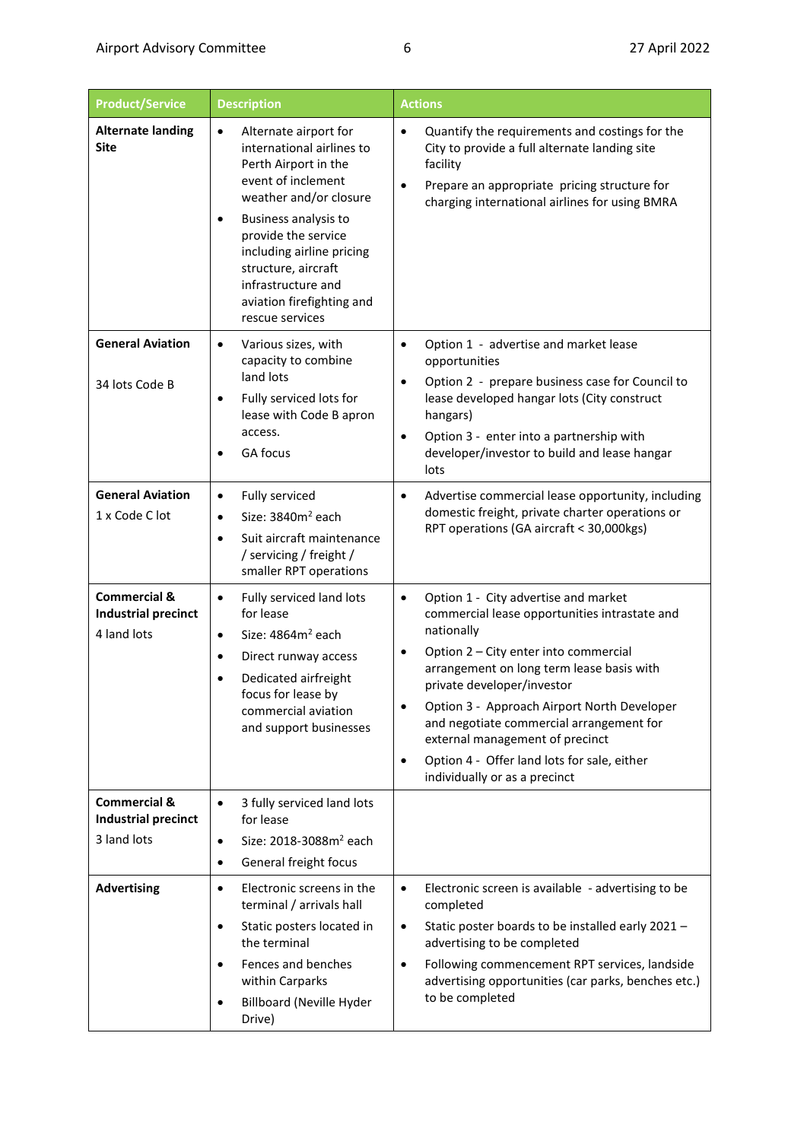| <b>Product/Service</b>                                               | <b>Description</b>                                                                                                                                                                                                                                                                                               | <b>Actions</b>                                                                                                                                                                                                                                                                                                                                                                                                                                                               |
|----------------------------------------------------------------------|------------------------------------------------------------------------------------------------------------------------------------------------------------------------------------------------------------------------------------------------------------------------------------------------------------------|------------------------------------------------------------------------------------------------------------------------------------------------------------------------------------------------------------------------------------------------------------------------------------------------------------------------------------------------------------------------------------------------------------------------------------------------------------------------------|
| <b>Alternate landing</b><br><b>Site</b>                              | Alternate airport for<br>$\bullet$<br>international airlines to<br>Perth Airport in the<br>event of inclement<br>weather and/or closure<br>Business analysis to<br>provide the service<br>including airline pricing<br>structure, aircraft<br>infrastructure and<br>aviation firefighting and<br>rescue services | Quantify the requirements and costings for the<br>$\bullet$<br>City to provide a full alternate landing site<br>facility<br>Prepare an appropriate pricing structure for<br>charging international airlines for using BMRA                                                                                                                                                                                                                                                   |
| <b>General Aviation</b><br>34 lots Code B                            | Various sizes, with<br>$\bullet$<br>capacity to combine<br>land lots<br>Fully serviced lots for<br>lease with Code B apron<br>access.<br>GA focus                                                                                                                                                                | Option 1 - advertise and market lease<br>$\bullet$<br>opportunities<br>Option 2 - prepare business case for Council to<br>$\bullet$<br>lease developed hangar lots (City construct<br>hangars)<br>Option 3 - enter into a partnership with<br>$\bullet$<br>developer/investor to build and lease hangar<br>lots                                                                                                                                                              |
| <b>General Aviation</b><br>1 x Code C lot                            | Fully serviced<br>$\bullet$<br>Size: 3840m <sup>2</sup> each<br>$\bullet$<br>Suit aircraft maintenance<br>$\bullet$<br>/ servicing / freight /<br>smaller RPT operations                                                                                                                                         | Advertise commercial lease opportunity, including<br>٠<br>domestic freight, private charter operations or<br>RPT operations (GA aircraft < 30,000kgs)                                                                                                                                                                                                                                                                                                                        |
| <b>Commercial &amp;</b><br><b>Industrial precinct</b><br>4 land lots | Fully serviced land lots<br>$\bullet$<br>for lease<br>Size: 4864m <sup>2</sup> each<br>$\bullet$<br>Direct runway access<br>٠<br>Dedicated airfreight<br>focus for lease by<br>commercial aviation<br>and support businesses                                                                                     | Option 1 - City advertise and market<br>$\bullet$<br>commercial lease opportunities intrastate and<br>nationally<br>Option 2 - City enter into commercial<br>arrangement on long term lease basis with<br>private developer/investor<br>Option 3 - Approach Airport North Developer<br>$\bullet$<br>and negotiate commercial arrangement for<br>external management of precinct<br>Option 4 - Offer land lots for sale, either<br>$\bullet$<br>individually or as a precinct |
| <b>Commercial &amp;</b><br><b>Industrial precinct</b><br>3 land lots | 3 fully serviced land lots<br>$\bullet$<br>for lease<br>Size: 2018-3088m <sup>2</sup> each<br>$\bullet$<br>General freight focus<br>$\bullet$                                                                                                                                                                    |                                                                                                                                                                                                                                                                                                                                                                                                                                                                              |
| <b>Advertising</b>                                                   | Electronic screens in the<br>$\bullet$<br>terminal / arrivals hall<br>Static posters located in<br>٠<br>the terminal<br>Fences and benches<br>$\bullet$<br>within Carparks<br><b>Billboard (Neville Hyder</b><br>$\bullet$<br>Drive)                                                                             | Electronic screen is available - advertising to be<br>$\bullet$<br>completed<br>Static poster boards to be installed early 2021 -<br>$\bullet$<br>advertising to be completed<br>Following commencement RPT services, landside<br>$\bullet$<br>advertising opportunities (car parks, benches etc.)<br>to be completed                                                                                                                                                        |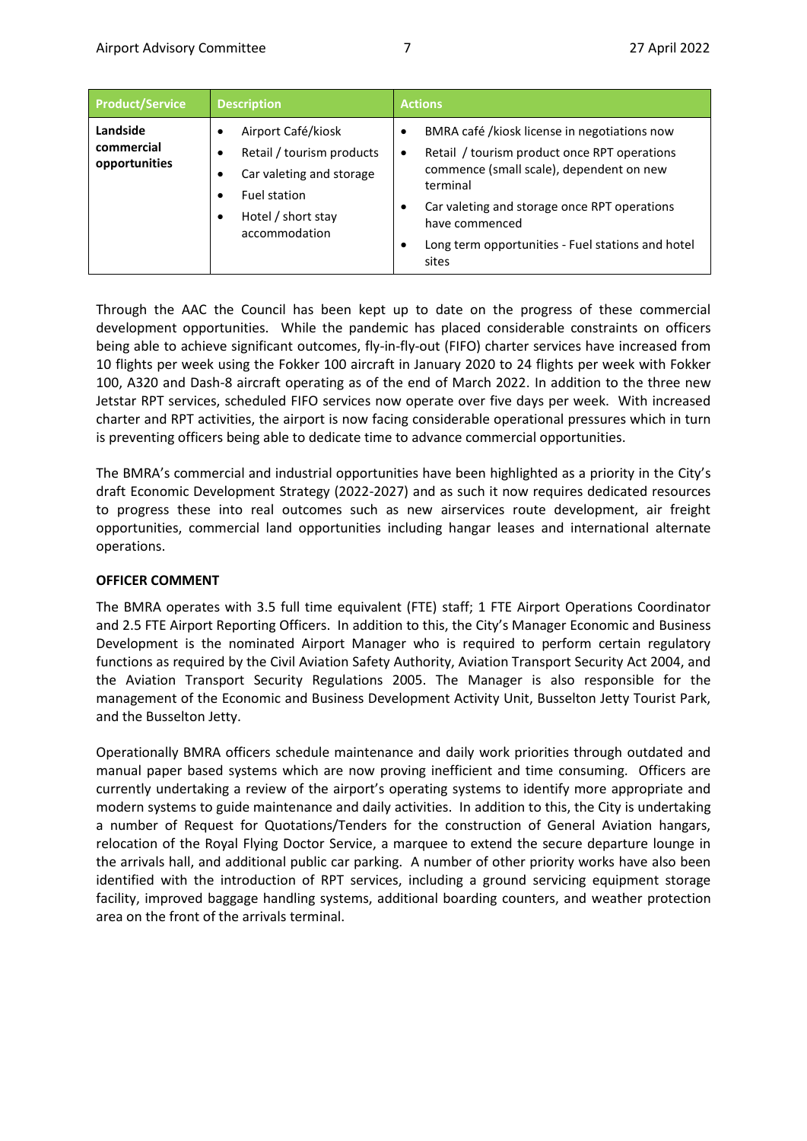| <b>Product/Service</b>                  | <b>Description</b>                                                                                                                                          | <b>Actions</b>                                                                                                                                                                                                                                                                                                   |
|-----------------------------------------|-------------------------------------------------------------------------------------------------------------------------------------------------------------|------------------------------------------------------------------------------------------------------------------------------------------------------------------------------------------------------------------------------------------------------------------------------------------------------------------|
| Landside<br>commercial<br>opportunities | Airport Café/kiosk<br>٠<br>Retail / tourism products<br>٠<br>Car valeting and storage<br>٠<br>Fuel station<br>٠<br>Hotel / short stay<br>٠<br>accommodation | BMRA café /kiosk license in negotiations now<br>٠<br>Retail / tourism product once RPT operations<br>$\bullet$<br>commence (small scale), dependent on new<br>terminal<br>Car valeting and storage once RPT operations<br>٠<br>have commenced<br>Long term opportunities - Fuel stations and hotel<br>٠<br>sites |

Through the AAC the Council has been kept up to date on the progress of these commercial development opportunities. While the pandemic has placed considerable constraints on officers being able to achieve significant outcomes, fly-in-fly-out (FIFO) charter services have increased from 10 flights per week using the Fokker 100 aircraft in January 2020 to 24 flights per week with Fokker 100, A320 and Dash-8 aircraft operating as of the end of March 2022. In addition to the three new Jetstar RPT services, scheduled FIFO services now operate over five days per week. With increased charter and RPT activities, the airport is now facing considerable operational pressures which in turn is preventing officers being able to dedicate time to advance commercial opportunities.

The BMRA's commercial and industrial opportunities have been highlighted as a priority in the City's draft Economic Development Strategy (2022-2027) and as such it now requires dedicated resources to progress these into real outcomes such as new airservices route development, air freight opportunities, commercial land opportunities including hangar leases and international alternate operations.

## **OFFICER COMMENT**

The BMRA operates with 3.5 full time equivalent (FTE) staff; 1 FTE Airport Operations Coordinator and 2.5 FTE Airport Reporting Officers. In addition to this, the City's Manager Economic and Business Development is the nominated Airport Manager who is required to perform certain regulatory functions as required by the Civil Aviation Safety Authority, Aviation Transport Security Act 2004, and the Aviation Transport Security Regulations 2005. The Manager is also responsible for the management of the Economic and Business Development Activity Unit, Busselton Jetty Tourist Park, and the Busselton Jetty.

Operationally BMRA officers schedule maintenance and daily work priorities through outdated and manual paper based systems which are now proving inefficient and time consuming. Officers are currently undertaking a review of the airport's operating systems to identify more appropriate and modern systems to guide maintenance and daily activities. In addition to this, the City is undertaking a number of Request for Quotations/Tenders for the construction of General Aviation hangars, relocation of the Royal Flying Doctor Service, a marquee to extend the secure departure lounge in the arrivals hall, and additional public car parking. A number of other priority works have also been identified with the introduction of RPT services, including a ground servicing equipment storage facility, improved baggage handling systems, additional boarding counters, and weather protection area on the front of the arrivals terminal.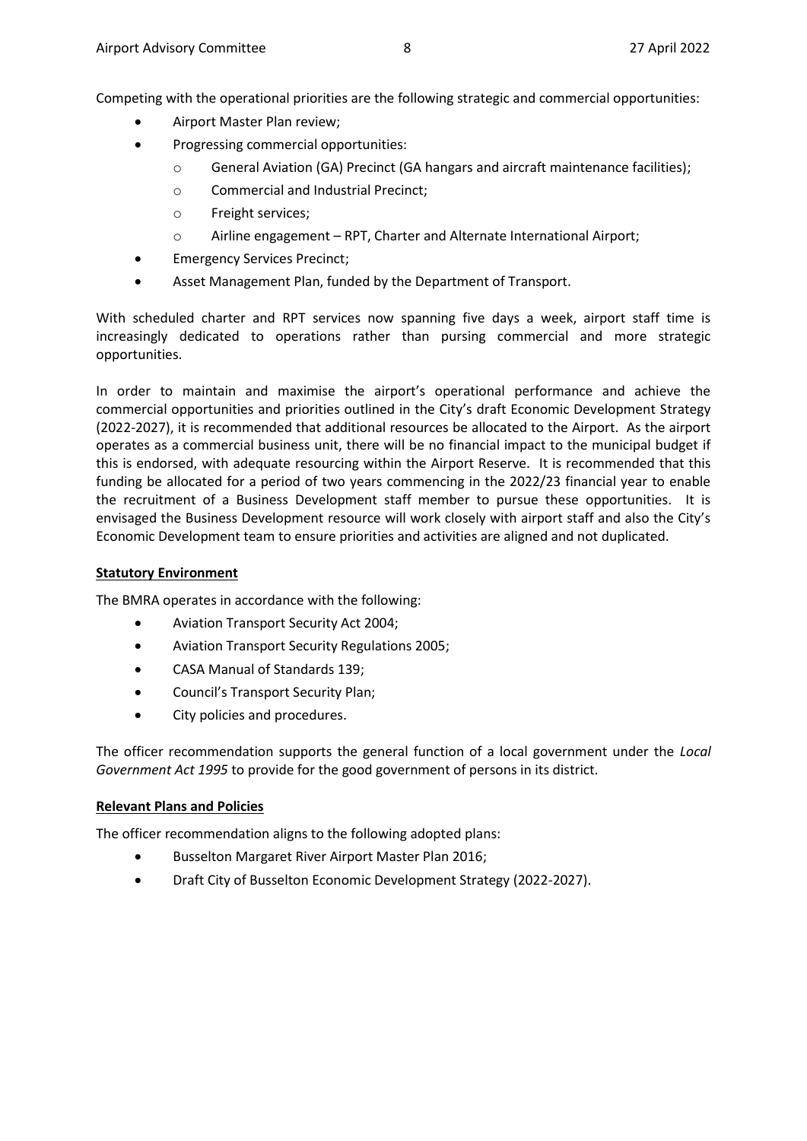Competing with the operational priorities are the following strategic and commercial opportunities:

- Airport Master Plan review;
- Progressing commercial opportunities:
	- o General Aviation (GA) Precinct (GA hangars and aircraft maintenance facilities);
	- o Commercial and Industrial Precinct;
	- o Freight services;
	- o Airline engagement RPT, Charter and Alternate International Airport;
- Emergency Services Precinct;
- Asset Management Plan, funded by the Department of Transport.

With scheduled charter and RPT services now spanning five days a week, airport staff time is increasingly dedicated to operations rather than pursing commercial and more strategic opportunities.

In order to maintain and maximise the airport's operational performance and achieve the commercial opportunities and priorities outlined in the City's draft Economic Development Strategy (2022-2027), it is recommended that additional resources be allocated to the Airport. As the airport operates as a commercial business unit, there will be no financial impact to the municipal budget if this is endorsed, with adequate resourcing within the Airport Reserve. It is recommended that this funding be allocated for a period of two years commencing in the 2022/23 financial year to enable the recruitment of a Business Development staff member to pursue these opportunities. It is envisaged the Business Development resource will work closely with airport staff and also the City's Economic Development team to ensure priorities and activities are aligned and not duplicated.

#### **Statutory Environment**

The BMRA operates in accordance with the following:

- Aviation Transport Security Act 2004;
- Aviation Transport Security Regulations 2005;
- CASA Manual of Standards 139;
- Council's Transport Security Plan;
- City policies and procedures.

The officer recommendation supports the general function of a local government under the *Local Government Act 1995* to provide for the good government of persons in its district.

## **Relevant Plans and Policies**

The officer recommendation aligns to the following adopted plans:

- **Busselton Margaret River Airport Master Plan 2016;**
- Draft City of Busselton Economic Development Strategy (2022-2027).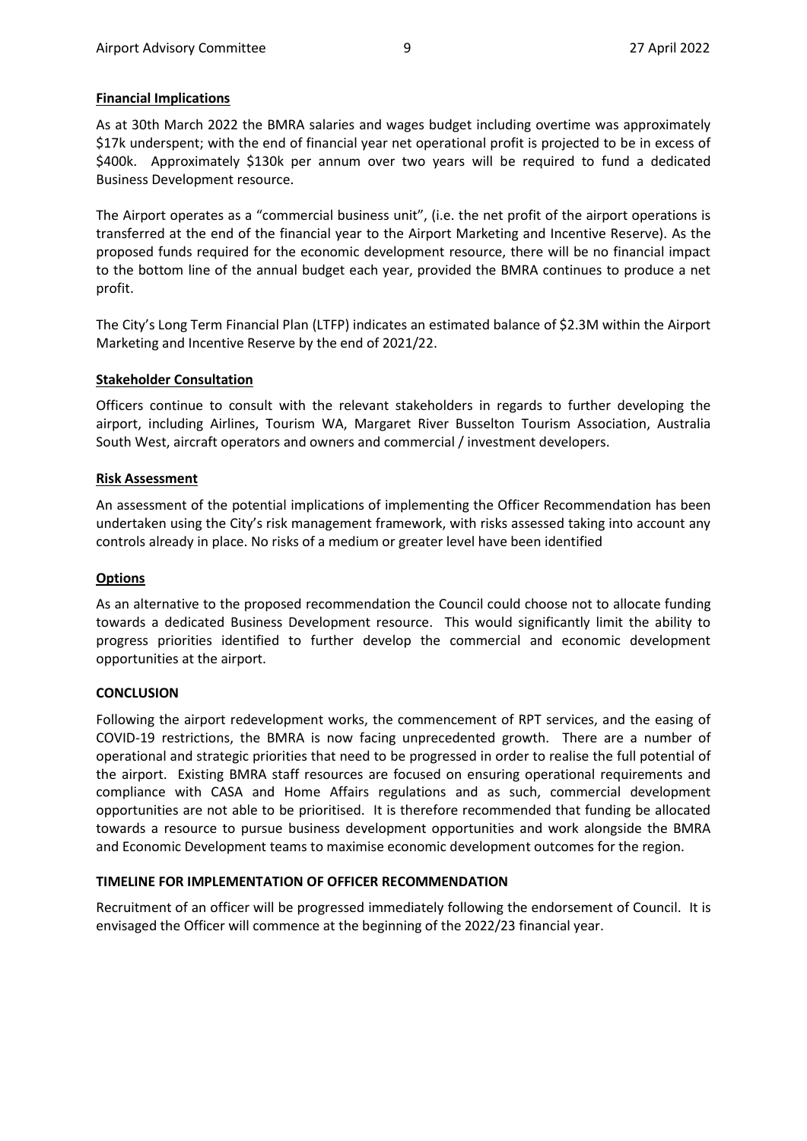## **Financial Implications**

As at 30th March 2022 the BMRA salaries and wages budget including overtime was approximately \$17k underspent; with the end of financial year net operational profit is projected to be in excess of \$400k. Approximately \$130k per annum over two years will be required to fund a dedicated Business Development resource.

The Airport operates as a "commercial business unit", (i.e. the net profit of the airport operations is transferred at the end of the financial year to the Airport Marketing and Incentive Reserve). As the proposed funds required for the economic development resource, there will be no financial impact to the bottom line of the annual budget each year, provided the BMRA continues to produce a net profit.

The City's Long Term Financial Plan (LTFP) indicates an estimated balance of \$2.3M within the Airport Marketing and Incentive Reserve by the end of 2021/22.

## **Stakeholder Consultation**

Officers continue to consult with the relevant stakeholders in regards to further developing the airport, including Airlines, Tourism WA, Margaret River Busselton Tourism Association, Australia South West, aircraft operators and owners and commercial / investment developers.

#### **Risk Assessment**

An assessment of the potential implications of implementing the Officer Recommendation has been undertaken using the City's risk management framework, with risks assessed taking into account any controls already in place. No risks of a medium or greater level have been identified

## **Options**

As an alternative to the proposed recommendation the Council could choose not to allocate funding towards a dedicated Business Development resource. This would significantly limit the ability to progress priorities identified to further develop the commercial and economic development opportunities at the airport.

## **CONCLUSION**

Following the airport redevelopment works, the commencement of RPT services, and the easing of COVID-19 restrictions, the BMRA is now facing unprecedented growth. There are a number of operational and strategic priorities that need to be progressed in order to realise the full potential of the airport. Existing BMRA staff resources are focused on ensuring operational requirements and compliance with CASA and Home Affairs regulations and as such, commercial development opportunities are not able to be prioritised. It is therefore recommended that funding be allocated towards a resource to pursue business development opportunities and work alongside the BMRA and Economic Development teams to maximise economic development outcomes for the region.

## **TIMELINE FOR IMPLEMENTATION OF OFFICER RECOMMENDATION**

Recruitment of an officer will be progressed immediately following the endorsement of Council. It is envisaged the Officer will commence at the beginning of the 2022/23 financial year.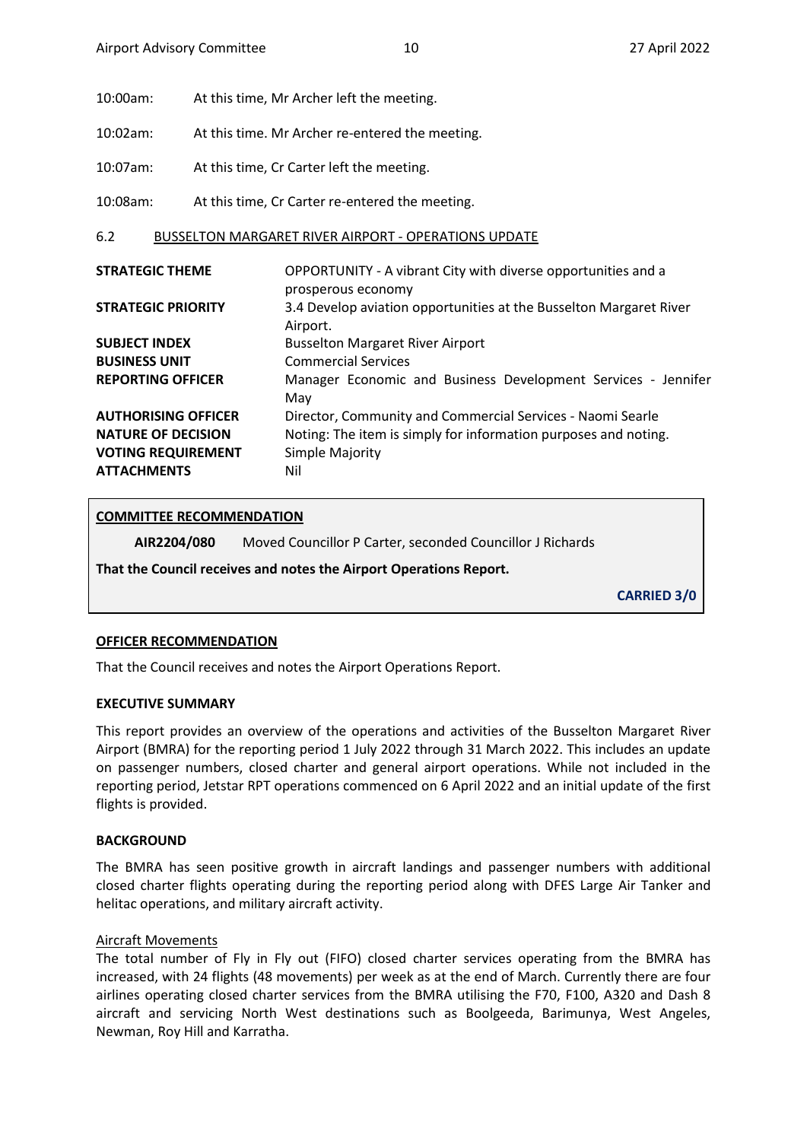10:00am: At this time, Mr Archer left the meeting.

10:02am: At this time. Mr Archer re-entered the meeting.

10:07am: At this time, Cr Carter left the meeting.

10:08am: At this time, Cr Carter re-entered the meeting.

## <span id="page-9-0"></span>6.2 BUSSELTON MARGARET RIVER AIRPORT - OPERATIONS UPDATE

| <b>STRATEGIC THEME</b>     | OPPORTUNITY - A vibrant City with diverse opportunities and a      |
|----------------------------|--------------------------------------------------------------------|
|                            | prosperous economy                                                 |
| <b>STRATEGIC PRIORITY</b>  | 3.4 Develop aviation opportunities at the Busselton Margaret River |
|                            | Airport.                                                           |
| <b>SUBJECT INDEX</b>       | <b>Busselton Margaret River Airport</b>                            |
| <b>BUSINESS UNIT</b>       | <b>Commercial Services</b>                                         |
| <b>REPORTING OFFICER</b>   | Manager Economic and Business Development Services - Jennifer      |
|                            | May                                                                |
| <b>AUTHORISING OFFICER</b> | Director, Community and Commercial Services - Naomi Searle         |
| <b>NATURE OF DECISION</b>  | Noting: The item is simply for information purposes and noting.    |
| <b>VOTING REQUIREMENT</b>  | Simple Majority                                                    |
| <b>ATTACHMENTS</b>         | Nil                                                                |

# **COMMITTEE RECOMMENDATION**

**AIR2204/080** Moved Councillor P Carter, seconded Councillor J Richards

**That the Council receives and notes the Airport Operations Report.**

**CARRIED 3/0**

#### **OFFICER RECOMMENDATION**

That the Council receives and notes the Airport Operations Report.

#### **EXECUTIVE SUMMARY**

This report provides an overview of the operations and activities of the Busselton Margaret River Airport (BMRA) for the reporting period 1 July 2022 through 31 March 2022. This includes an update on passenger numbers, closed charter and general airport operations. While not included in the reporting period, Jetstar RPT operations commenced on 6 April 2022 and an initial update of the first flights is provided.

## **BACKGROUND**

The BMRA has seen positive growth in aircraft landings and passenger numbers with additional closed charter flights operating during the reporting period along with DFES Large Air Tanker and helitac operations, and military aircraft activity.

## Aircraft Movements

The total number of Fly in Fly out (FIFO) closed charter services operating from the BMRA has increased, with 24 flights (48 movements) per week as at the end of March. Currently there are four airlines operating closed charter services from the BMRA utilising the F70, F100, A320 and Dash 8 aircraft and servicing North West destinations such as Boolgeeda, Barimunya, West Angeles, Newman, Roy Hill and Karratha.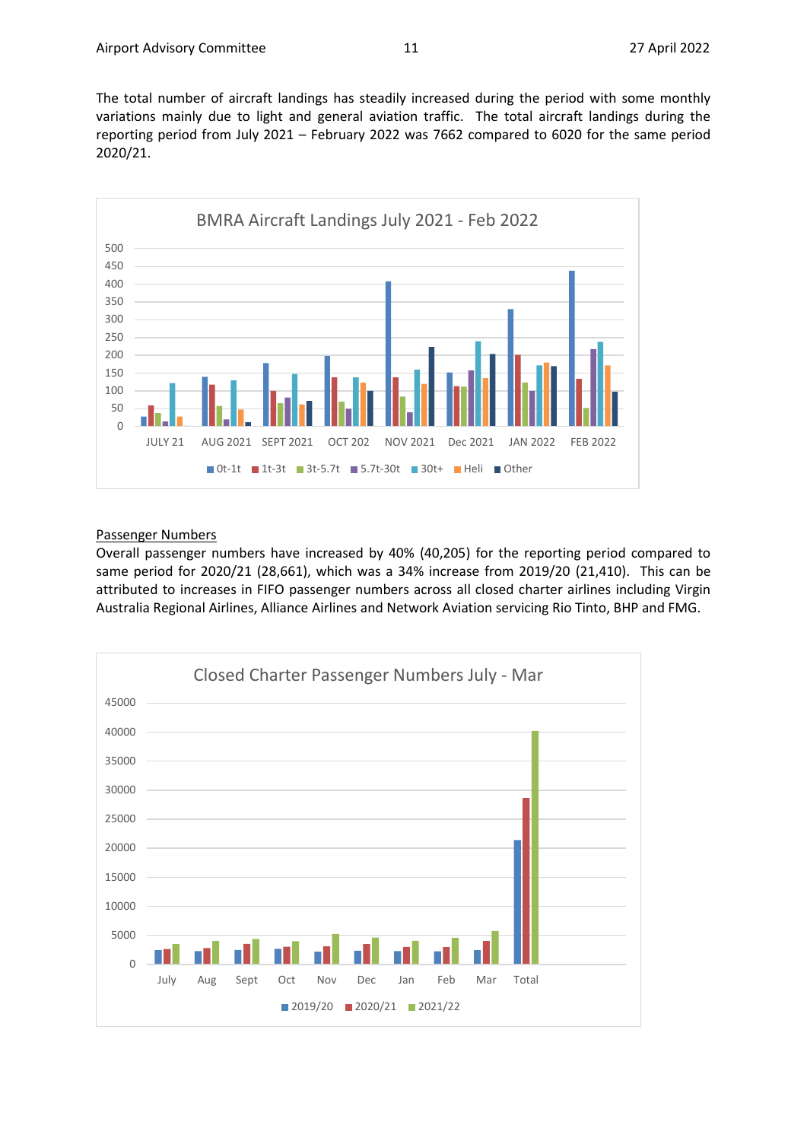The total number of aircraft landings has steadily increased during the period with some monthly variations mainly due to light and general aviation traffic. The total aircraft landings during the reporting period from July 2021 – February 2022 was 7662 compared to 6020 for the same period 2020/21.



#### Passenger Numbers

Overall passenger numbers have increased by 40% (40,205) for the reporting period compared to same period for 2020/21 (28,661), which was a 34% increase from 2019/20 (21,410). This can be attributed to increases in FIFO passenger numbers across all closed charter airlines including Virgin Australia Regional Airlines, Alliance Airlines and Network Aviation servicing Rio Tinto, BHP and FMG.

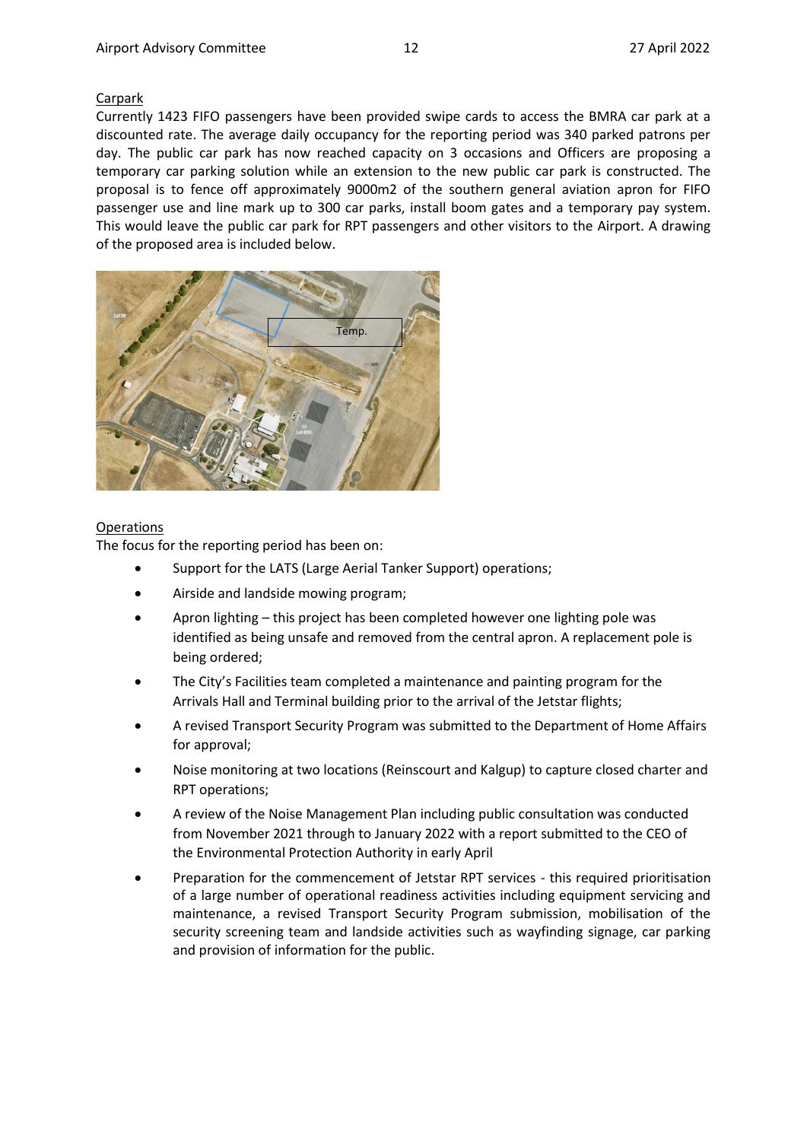#### Carpark

Currently 1423 FIFO passengers have been provided swipe cards to access the BMRA car park at a discounted rate. The average daily occupancy for the reporting period was 340 parked patrons per day. The public car park has now reached capacity on 3 occasions and Officers are proposing a temporary car parking solution while an extension to the new public car park is constructed. The proposal is to fence off approximately 9000m2 of the southern general aviation apron for FIFO passenger use and line mark up to 300 car parks, install boom gates and a temporary pay system. This would leave the public car park for RPT passengers and other visitors to the Airport. A drawing of the proposed area is included below.



## Operations

The focus for the reporting period has been on:

- Support for the LATS (Large Aerial Tanker Support) operations;
- Airside and landside mowing program;
- Apron lighting this project has been completed however one lighting pole was identified as being unsafe and removed from the central apron. A replacement pole is being ordered;
- The City's Facilities team completed a maintenance and painting program for the Arrivals Hall and Terminal building prior to the arrival of the Jetstar flights;
- A revised Transport Security Program was submitted to the Department of Home Affairs for approval;
- Noise monitoring at two locations (Reinscourt and Kalgup) to capture closed charter and RPT operations;
- A review of the Noise Management Plan including public consultation was conducted from November 2021 through to January 2022 with a report submitted to the CEO of the Environmental Protection Authority in early April
- Preparation for the commencement of Jetstar RPT services this required prioritisation of a large number of operational readiness activities including equipment servicing and maintenance, a revised Transport Security Program submission, mobilisation of the security screening team and landside activities such as wayfinding signage, car parking and provision of information for the public.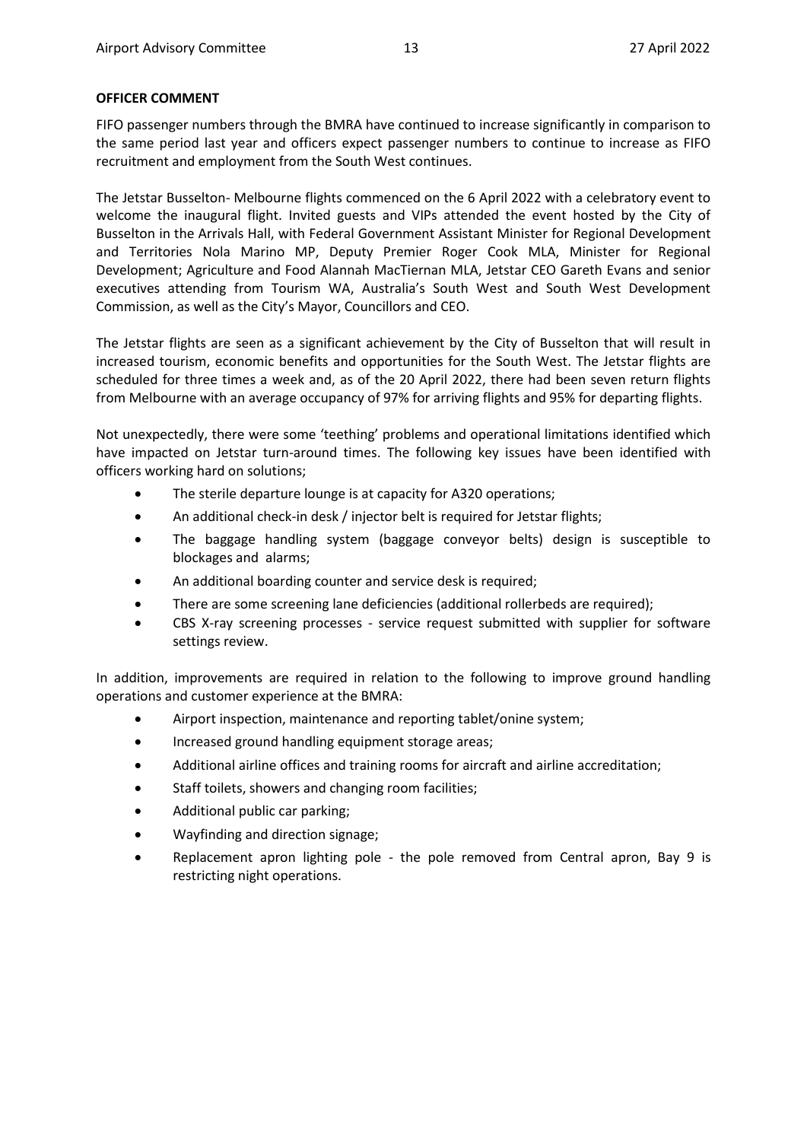## **OFFICER COMMENT**

FIFO passenger numbers through the BMRA have continued to increase significantly in comparison to the same period last year and officers expect passenger numbers to continue to increase as FIFO recruitment and employment from the South West continues.

The Jetstar Busselton- Melbourne flights commenced on the 6 April 2022 with a celebratory event to welcome the inaugural flight. Invited guests and VIPs attended the event hosted by the City of Busselton in the Arrivals Hall, with Federal Government Assistant Minister for Regional Development and Territories Nola Marino MP, Deputy Premier Roger Cook MLA, Minister for Regional Development; Agriculture and Food Alannah MacTiernan MLA, Jetstar CEO Gareth Evans and senior executives attending from Tourism WA, Australia's South West and South West Development Commission, as well as the City's Mayor, Councillors and CEO.

The Jetstar flights are seen as a significant achievement by the City of Busselton that will result in increased tourism, economic benefits and opportunities for the South West. The Jetstar flights are scheduled for three times a week and, as of the 20 April 2022, there had been seven return flights from Melbourne with an average occupancy of 97% for arriving flights and 95% for departing flights.

Not unexpectedly, there were some 'teething' problems and operational limitations identified which have impacted on Jetstar turn-around times. The following key issues have been identified with officers working hard on solutions;

- The sterile departure lounge is at capacity for A320 operations;
- An additional check-in desk / injector belt is required for Jetstar flights;
- The baggage handling system (baggage conveyor belts) design is susceptible to blockages and alarms;
- An additional boarding counter and service desk is required;
- There are some screening lane deficiencies (additional rollerbeds are required);
- CBS X-ray screening processes service request submitted with supplier for software settings review.

In addition, improvements are required in relation to the following to improve ground handling operations and customer experience at the BMRA:

- Airport inspection, maintenance and reporting tablet/onine system;
- Increased ground handling equipment storage areas;
- Additional airline offices and training rooms for aircraft and airline accreditation;
- Staff toilets, showers and changing room facilities;
- Additional public car parking;
- Wayfinding and direction signage;
- Replacement apron lighting pole the pole removed from Central apron, Bay 9 is restricting night operations.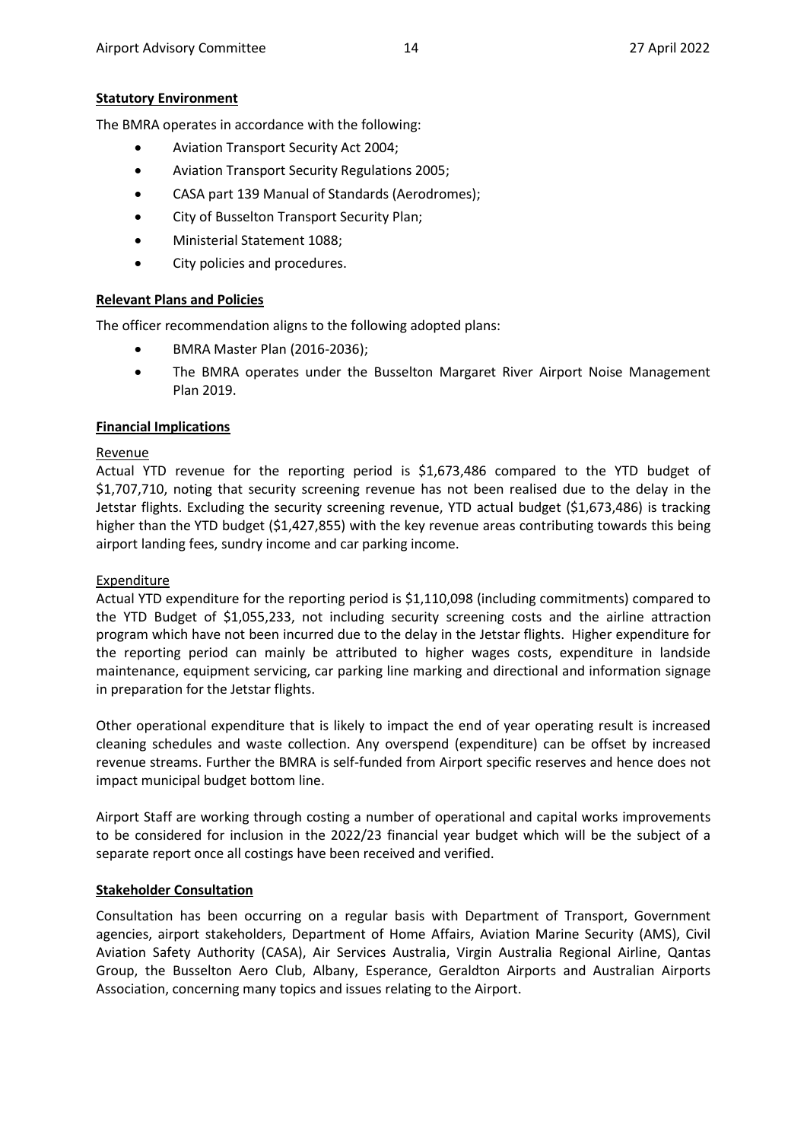# **Statutory Environment**

The BMRA operates in accordance with the following:

- Aviation Transport Security Act 2004;
- Aviation Transport Security Regulations 2005;
- CASA part 139 Manual of Standards (Aerodromes);
- City of Busselton Transport Security Plan;
- Ministerial Statement 1088;
- City policies and procedures.

# **Relevant Plans and Policies**

The officer recommendation aligns to the following adopted plans:

- BMRA Master Plan (2016-2036);
- The BMRA operates under the Busselton Margaret River Airport Noise Management Plan 2019.

# **Financial Implications**

# Revenue

Actual YTD revenue for the reporting period is \$1,673,486 compared to the YTD budget of \$1,707,710, noting that security screening revenue has not been realised due to the delay in the Jetstar flights. Excluding the security screening revenue, YTD actual budget (\$1,673,486) is tracking higher than the YTD budget (\$1,427,855) with the key revenue areas contributing towards this being airport landing fees, sundry income and car parking income.

## **Expenditure**

Actual YTD expenditure for the reporting period is \$1,110,098 (including commitments) compared to the YTD Budget of \$1,055,233, not including security screening costs and the airline attraction program which have not been incurred due to the delay in the Jetstar flights. Higher expenditure for the reporting period can mainly be attributed to higher wages costs, expenditure in landside maintenance, equipment servicing, car parking line marking and directional and information signage in preparation for the Jetstar flights.

Other operational expenditure that is likely to impact the end of year operating result is increased cleaning schedules and waste collection. Any overspend (expenditure) can be offset by increased revenue streams. Further the BMRA is self-funded from Airport specific reserves and hence does not impact municipal budget bottom line.

Airport Staff are working through costing a number of operational and capital works improvements to be considered for inclusion in the 2022/23 financial year budget which will be the subject of a separate report once all costings have been received and verified.

# **Stakeholder Consultation**

Consultation has been occurring on a regular basis with Department of Transport, Government agencies, airport stakeholders, Department of Home Affairs, Aviation Marine Security (AMS), Civil Aviation Safety Authority (CASA), Air Services Australia, Virgin Australia Regional Airline, Qantas Group, the Busselton Aero Club, Albany, Esperance, Geraldton Airports and Australian Airports Association, concerning many topics and issues relating to the Airport.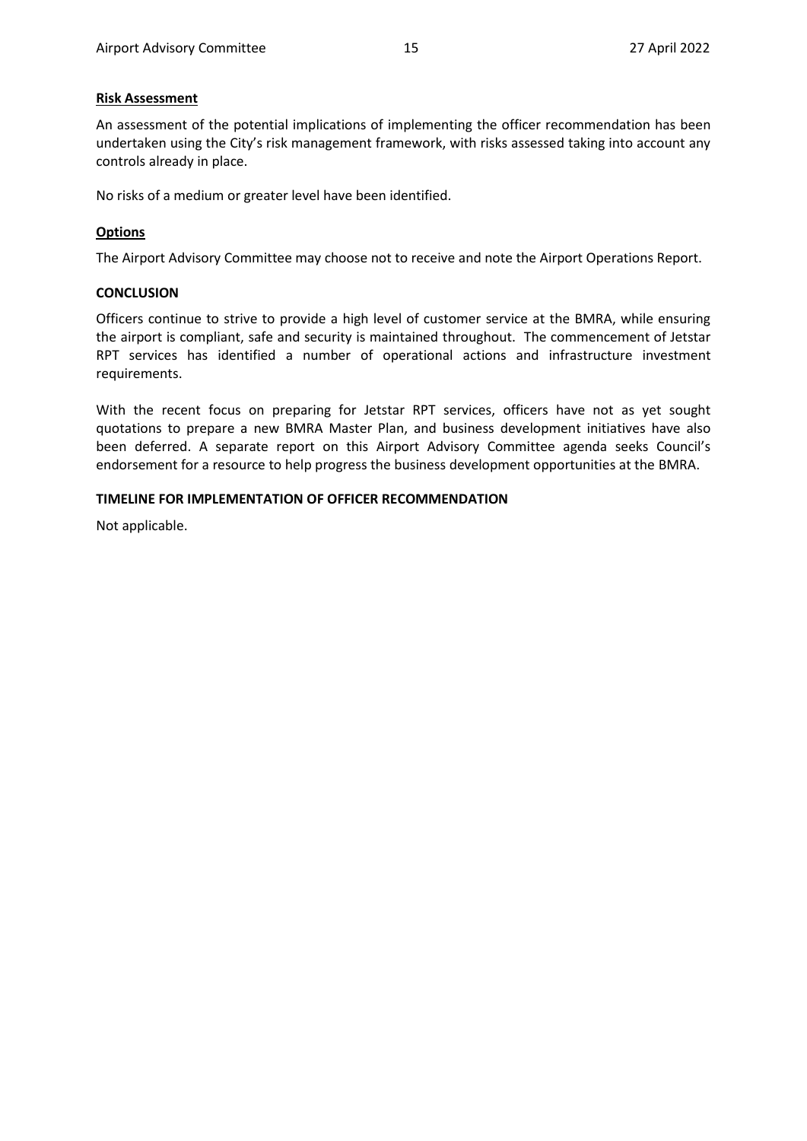#### **Risk Assessment**

An assessment of the potential implications of implementing the officer recommendation has been undertaken using the City's risk management framework, with risks assessed taking into account any controls already in place.

No risks of a medium or greater level have been identified.

## **Options**

The Airport Advisory Committee may choose not to receive and note the Airport Operations Report.

#### **CONCLUSION**

Officers continue to strive to provide a high level of customer service at the BMRA, while ensuring the airport is compliant, safe and security is maintained throughout. The commencement of Jetstar RPT services has identified a number of operational actions and infrastructure investment requirements.

With the recent focus on preparing for Jetstar RPT services, officers have not as yet sought quotations to prepare a new BMRA Master Plan, and business development initiatives have also been deferred. A separate report on this Airport Advisory Committee agenda seeks Council's endorsement for a resource to help progress the business development opportunities at the BMRA.

#### **TIMELINE FOR IMPLEMENTATION OF OFFICER RECOMMENDATION**

Not applicable.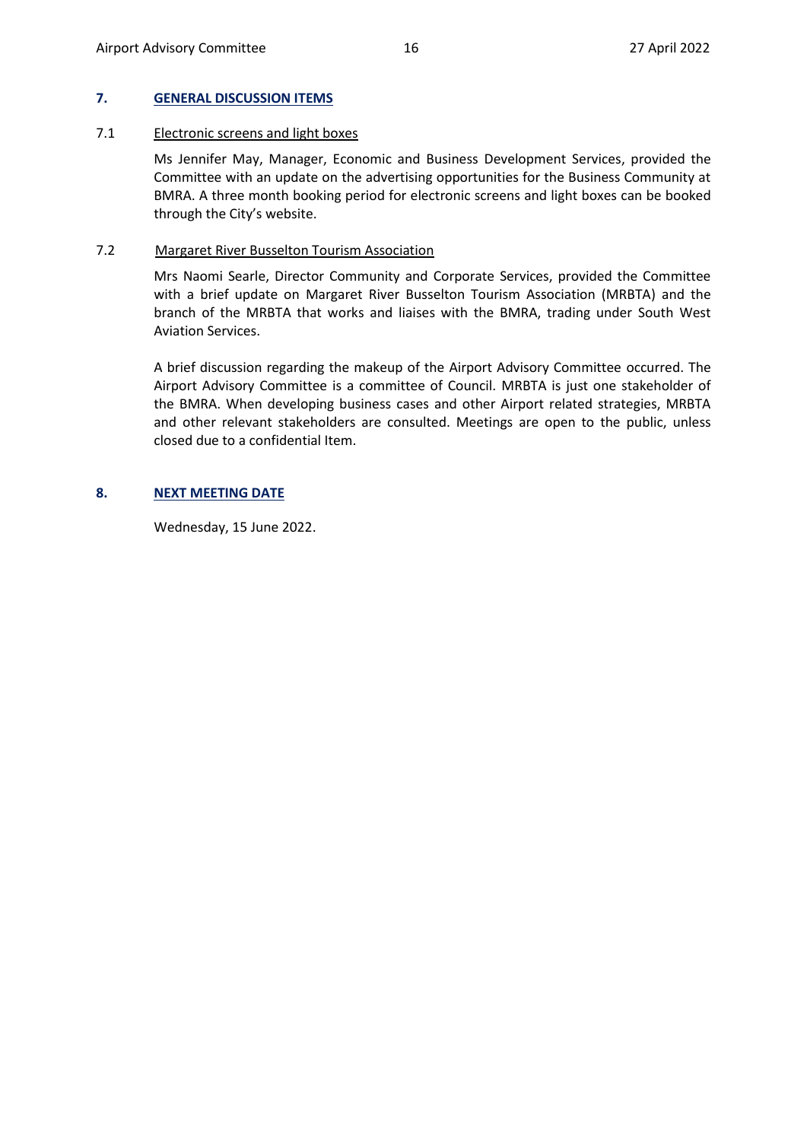#### <span id="page-15-0"></span>**7. GENERAL DISCUSSION ITEMS**

#### 7.1 Electronic screens and light boxes

Ms Jennifer May, Manager, Economic and Business Development Services, provided the Committee with an update on the advertising opportunities for the Business Community at BMRA. A three month booking period for electronic screens and light boxes can be booked through the City's website.

#### 7.2 Margaret River Busselton Tourism Association

Mrs Naomi Searle, Director Community and Corporate Services, provided the Committee with a brief update on Margaret River Busselton Tourism Association (MRBTA) and the branch of the MRBTA that works and liaises with the BMRA, trading under South West Aviation Services.

A brief discussion regarding the makeup of the Airport Advisory Committee occurred. The Airport Advisory Committee is a committee of Council. MRBTA is just one stakeholder of the BMRA. When developing business cases and other Airport related strategies, MRBTA and other relevant stakeholders are consulted. Meetings are open to the public, unless closed due to a confidential Item.

#### <span id="page-15-1"></span>**8. NEXT MEETING DATE**

Wednesday, 15 June 2022.